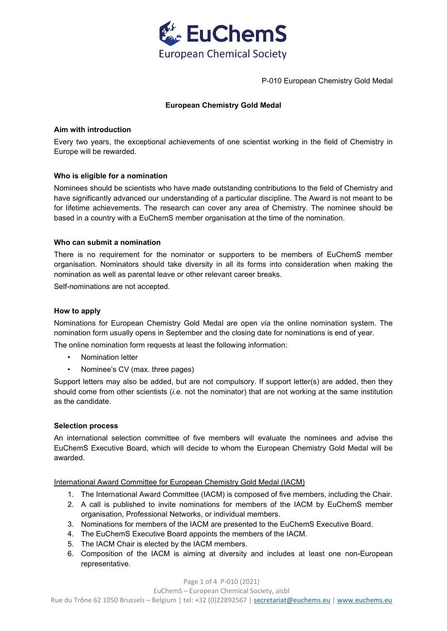

P-010 European Chemistry Gold Medal

# **European Chemistry Gold Medal**

# **Aim with introduction**

Every two years, the exceptional achievements of one scientist working in the field of Chemistry in Europe will be rewarded.

# **Who is eligible for a nomination**

Nominees should be scientists who have made outstanding contributions to the field of Chemistry and have significantly advanced our understanding of a particular discipline. The Award is not meant to be for lifetime achievements. The research can cover any area of Chemistry. The nominee should be based in a country with a EuChemS member organisation at the time of the nomination.

# **Who can submit a nomination**

There is no requirement for the nominator or supporters to be members of EuChemS member organisation. Nominators should take diversity in all its forms into consideration when making the nomination as well as parental leave or other relevant career breaks.

Self-nominations are not accepted.

# **How to apply**

Nominations for European Chemistry Gold Medal are open *via* the online nomination system. The nomination form usually opens in September and the closing date for nominations is end of year. The online nomination form requests at least the following information:

- Nomination letter
- Nominee's CV (max. three pages)

Support letters may also be added, but are not compulsory. If support letter(s) are added, then they should come from other scientists (*i.e.* not the nominator) that are not working at the same institution as the candidate.

## **Selection process**

An international selection committee of five members will evaluate the nominees and advise the EuChemS Executive Board, which will decide to whom the European Chemistry Gold Medal will be awarded.

International Award Committee for European Chemistry Gold Medal (IACM)

- 1. The International Award Committee (IACM) is composed of five members, including the Chair.
- 2. A call is published to invite nominations for members of the IACM by EuChemS member organisation, Professional Networks, or individual members.
- 3. Nominations for members of the IACM are presented to the EuChemS Executive Board.
- 4. The EuChemS Executive Board appoints the members of the IACM.
- 5. The IACM Chair is elected by the IACM members.
- 6. Composition of the IACM is aiming at diversity and includes at least one non-European representative.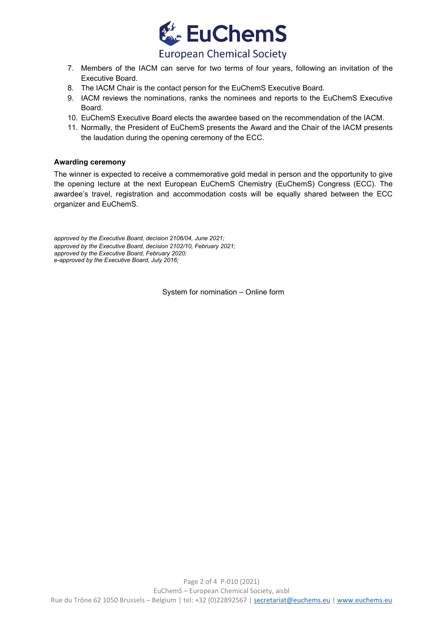

# **European Chemical Society**

- 7. Members of the IACM can serve for two terms of four years, following an invitation of the Executive Board.
- 8. The IACM Chair is the contact person for the EuChemS Executive Board.
- 9. IACM reviews the nominations, ranks the nominees and reports to the EuChemS Executive Board.
- 10. EuChemS Executive Board elects the awardee based on the recommendation of the IACM.
- 11. Normally, the President of EuChemS presents the Award and the Chair of the IACM presents the laudation during the opening ceremony of the ECC.

# **Awarding ceremony**

The winner is expected to receive a commemorative gold medal in person and the opportunity to give the opening lecture at the next European EuChemS Chemistry (EuChemS) Congress (ECC). The awardee's travel, registration and accommodation costs will be equally shared between the ECC organizer and EuChemS.

*approved by the Executive Board, decision 2106/04, June 2021; approved by the Executive Board, decision 2102/10, February 2021; approved by the Executive Board, February 2020; e-approved by the Executive Board, July 2016;*

System for nomination – Online form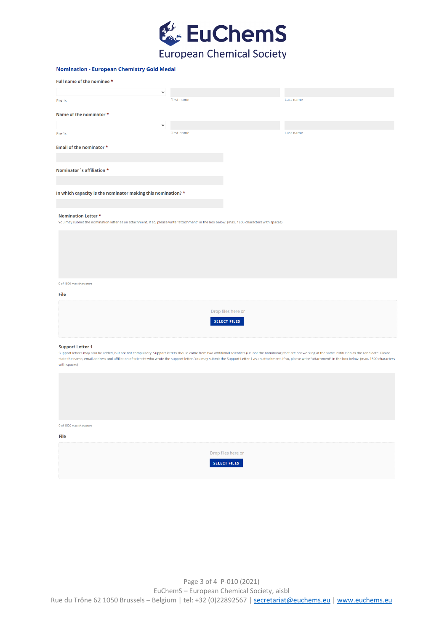

## **Nomination - European Chemistry Gold Medal**

| Full name of the nominee *                                                                                                                                                 |            |           |  |  |
|----------------------------------------------------------------------------------------------------------------------------------------------------------------------------|------------|-----------|--|--|
| $\check{ }$                                                                                                                                                                |            |           |  |  |
| Prefix                                                                                                                                                                     | First name | Last name |  |  |
| Name of the nominator *                                                                                                                                                    |            |           |  |  |
| $\check{ }$                                                                                                                                                                |            |           |  |  |
| Prefix                                                                                                                                                                     | First name | Last name |  |  |
| Email of the nominator *                                                                                                                                                   |            |           |  |  |
|                                                                                                                                                                            |            |           |  |  |
| Nominator´s affiliation *                                                                                                                                                  |            |           |  |  |
|                                                                                                                                                                            |            |           |  |  |
| In which capacity is the nominator making this nomination? *                                                                                                               |            |           |  |  |
|                                                                                                                                                                            |            |           |  |  |
| <b>Nomination Letter *</b><br>You may submit the nomination letter as an attachment. If so, please write "attachment" in the box below. (max. 1500 characters with spaces) |            |           |  |  |
|                                                                                                                                                                            |            |           |  |  |
|                                                                                                                                                                            |            |           |  |  |
|                                                                                                                                                                            |            |           |  |  |
|                                                                                                                                                                            |            |           |  |  |
| 0 of 1500 max characters                                                                                                                                                   |            |           |  |  |
| File                                                                                                                                                                       |            |           |  |  |
|                                                                                                                                                                            |            |           |  |  |
| Drop files here or<br><b>SELECT FILES</b>                                                                                                                                  |            |           |  |  |
|                                                                                                                                                                            |            |           |  |  |
| <b>Support Letter 1</b>                                                                                                                                                    |            |           |  |  |

Support letters may also be added, but are not compulsory. Support letters should come from two additional scientists (i.e. not the nominator) that are not working at the same institution as the candidate. Please state the name, email address and affiliation of scientist who wrote the support letter. You may submit the Support Letter 1 as an attachment. If so, please write "attachment" in the box below. (max. 1500 characters with spaces)

| 0 of 1500 max characters |                     |  |
|--------------------------|---------------------|--|
| File                     |                     |  |
|                          |                     |  |
|                          | Drop files here or  |  |
|                          | <b>SELECT FILES</b> |  |